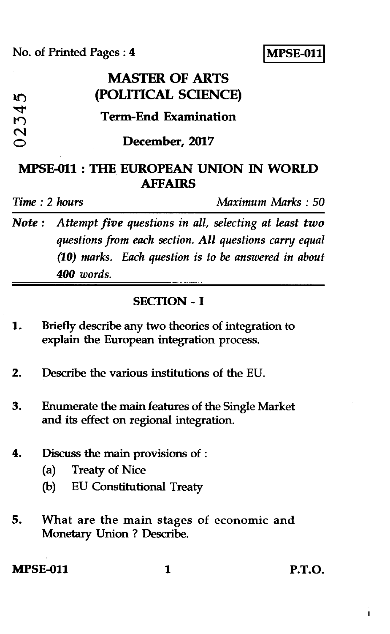No. of Printed Pages : **4 IMPSE-011** 

|                                          | <b>MASTER OF ARTS</b>       |
|------------------------------------------|-----------------------------|
| m                                        | (POLITICAL SCIENCE)         |
| $\overline{\mathbf{r}}$<br>$\mathcal{M}$ | <b>Term-End Examination</b> |
| $\mathbf{\Omega}$                        | December, 2017              |

# **MPSE-011 : THE EUROPEAN UNION IN WORLD AFFAIRS**

*Time : 2 hours Maximum Marks : 50* 

*Note : Attempt five questions in all, selecting at least two questions from each section. All questions carry equal (10) marks. Each question is to be answered in about 400 words.* 

### **SECTION - I**

- **1. Briefly describe any two theories of integration to explain the European integration process.**
- **2. Describe the various institutions of the EU.**
- **3. Enumerate the main features of the Single Market and its effect on regional integration.**
- *4.* **Discuss the main provisions of :** 
	- **(a) Treaty of Nice**
	- **(b) EU Constitutional Treaty**
- **5. What are the main stages of economic and Monetary Union ? Describe.**

**MPSE-011** 1 **P.T.O.**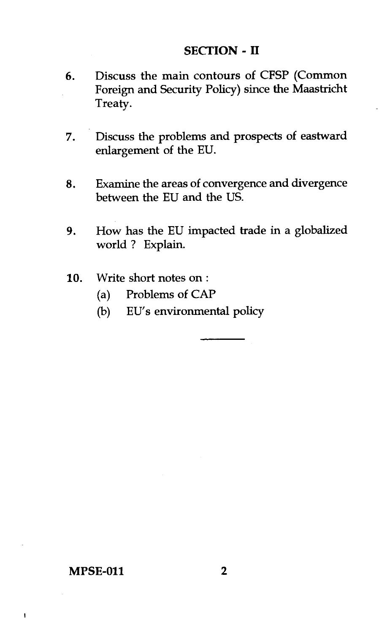#### **SECTION - II**

- 6. Discuss the main contours of CFSP (Common Foreign and Security Policy) since the Maastricht Treaty.
- 7. Discuss the problems and prospects of eastward enlargement of the EU.
- 8. Examine the areas of convergence and divergence between the EU and the US.
- 9. How has the EU impacted trade in a globalized world ? Explain.
- 10. Write short notes on :
	- (a) Problems of CAP
	- (b) EU's environmental policy

#### **MPSE-011 2**

 $\mathbf{I}$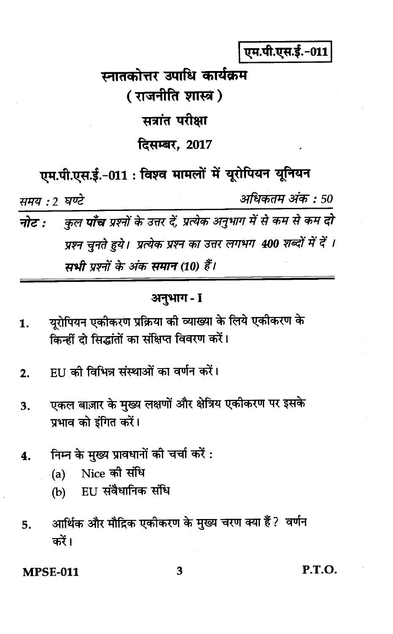एम.पी.एस.ई.-011

# स्नातकोत्तर उपाधि कार्यकम ( राजनीति शास्त्र) सत्रांत परीक्षा दिसम्बर, 2017

एम.पी.एस.ई.-011: विश्व मामलों में यूरोपियन यूनियन

अधिकतम अंक : 50 समय : 2 घण्टे

कुल **पाँच** प्रश्नों के उत्तर दें, प्रत्येक अनुभाग में से कम से कम दो नोट : प्रश्न चुनते हुये। प्रत्येक प्रश्न का उत्तर लगभग 400 शब्दों में दें । मधी पश्नों के अंक समान (10) हैं।

# अनुभाग - I

- यरोपियन एकीकरण प्रक्रिया की व्याख्या के लिये एकीकरण के 1. किन्हीं दो सिद्धांतों का संक्षिप्त विवरण करें।
- हा। की विभिन्न संस्थाओं का वर्णन करें।  $2.$
- एकल बाज़ार के मख्य लक्षणों और क्षेत्रिय एकीकरण पर इसके  $3.$ प्रभाव को इंगित करें।
- निम्न के मुख्य प्रावधानों की चर्चा करें :  $\Delta$ .
	- (a) Nice की संधि
	- EU संवैधानिक संधि  $(b)$
- आर्थिक और मौद्रिक एकीकरण के मुख्य चरण क्या हैं ? वर्णन 5. करें।

**MPSE-011** 

P.T.O.

3